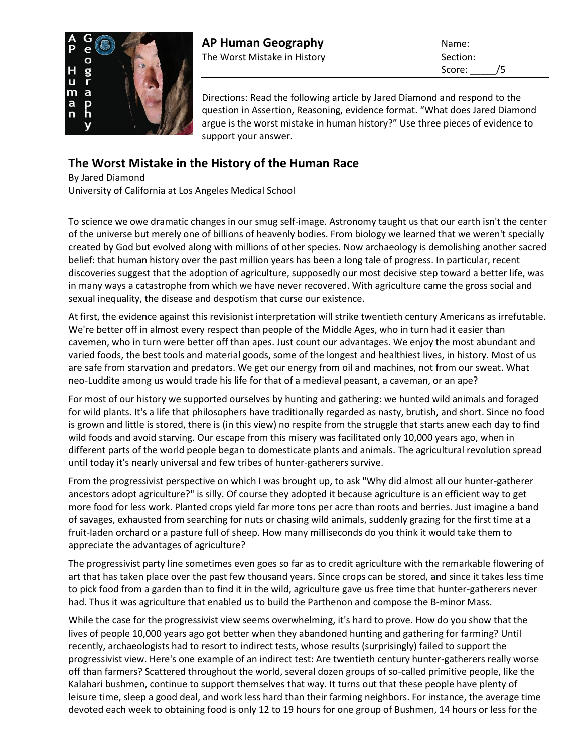

Score: /5

Directions: Read the following article by Jared Diamond and respond to the question in Assertion, Reasoning, evidence format. "What does Jared Diamond argue is the worst mistake in human history?" Use three pieces of evidence to support your answer.

## **The Worst Mistake in the History of the Human Race**

By Jared Diamond University of California at Los Angeles Medical School

To science we owe dramatic changes in our smug self-image. Astronomy taught us that our earth isn't the center of the universe but merely one of billions of heavenly bodies. From biology we learned that we weren't specially created by God but evolved along with millions of other species. Now archaeology is demolishing another sacred belief: that human history over the past million years has been a long tale of progress. In particular, recent discoveries suggest that the adoption of agriculture, supposedly our most decisive step toward a better life, was in many ways a catastrophe from which we have never recovered. With agriculture came the gross social and sexual inequality, the disease and despotism that curse our existence.

At first, the evidence against this revisionist interpretation will strike twentieth century Americans as irrefutable. We're better off in almost every respect than people of the Middle Ages, who in turn had it easier than cavemen, who in turn were better off than apes. Just count our advantages. We enjoy the most abundant and varied foods, the best tools and material goods, some of the longest and healthiest lives, in history. Most of us are safe from starvation and predators. We get our energy from oil and machines, not from our sweat. What neo-Luddite among us would trade his life for that of a medieval peasant, a caveman, or an ape?

For most of our history we supported ourselves by hunting and gathering: we hunted wild animals and foraged for wild plants. It's a life that philosophers have traditionally regarded as nasty, brutish, and short. Since no food is grown and little is stored, there is (in this view) no respite from the struggle that starts anew each day to find wild foods and avoid starving. Our escape from this misery was facilitated only 10,000 years ago, when in different parts of the world people began to domesticate plants and animals. The agricultural revolution spread until today it's nearly universal and few tribes of hunter-gatherers survive.

From the progressivist perspective on which I was brought up, to ask "Why did almost all our hunter-gatherer ancestors adopt agriculture?" is silly. Of course they adopted it because agriculture is an efficient way to get more food for less work. Planted crops yield far more tons per acre than roots and berries. Just imagine a band of savages, exhausted from searching for nuts or chasing wild animals, suddenly grazing for the first time at a fruit-laden orchard or a pasture full of sheep. How many milliseconds do you think it would take them to appreciate the advantages of agriculture?

The progressivist party line sometimes even goes so far as to credit agriculture with the remarkable flowering of art that has taken place over the past few thousand years. Since crops can be stored, and since it takes less time to pick food from a garden than to find it in the wild, agriculture gave us free time that hunter-gatherers never had. Thus it was agriculture that enabled us to build the Parthenon and compose the B-minor Mass.

While the case for the progressivist view seems overwhelming, it's hard to prove. How do you show that the lives of people 10,000 years ago got better when they abandoned hunting and gathering for farming? Until recently, archaeologists had to resort to indirect tests, whose results (surprisingly) failed to support the progressivist view. Here's one example of an indirect test: Are twentieth century hunter-gatherers really worse off than farmers? Scattered throughout the world, several dozen groups of so-called primitive people, like the Kalahari bushmen, continue to support themselves that way. It turns out that these people have plenty of leisure time, sleep a good deal, and work less hard than their farming neighbors. For instance, the average time devoted each week to obtaining food is only 12 to 19 hours for one group of Bushmen, 14 hours or less for the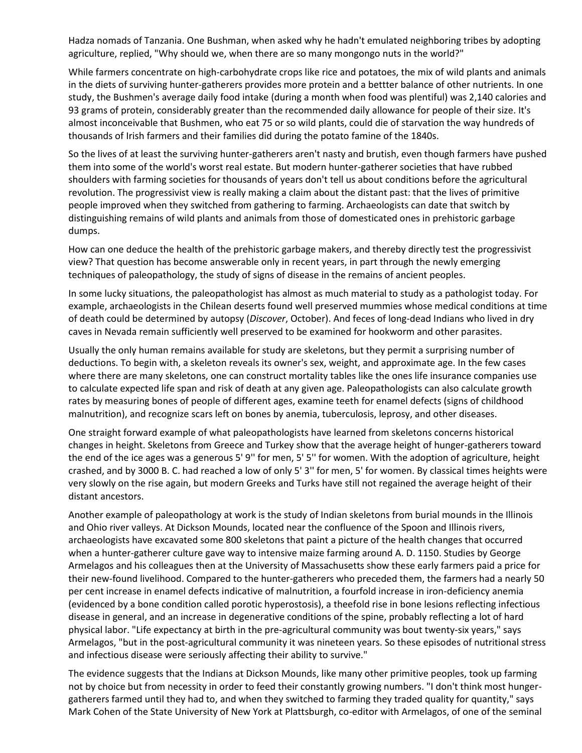Hadza nomads of Tanzania. One Bushman, when asked why he hadn't emulated neighboring tribes by adopting agriculture, replied, "Why should we, when there are so many mongongo nuts in the world?"

While farmers concentrate on high-carbohydrate crops like rice and potatoes, the mix of wild plants and animals in the diets of surviving hunter-gatherers provides more protein and a bettter balance of other nutrients. In one study, the Bushmen's average daily food intake (during a month when food was plentiful) was 2,140 calories and 93 grams of protein, considerably greater than the recommended daily allowance for people of their size. It's almost inconceivable that Bushmen, who eat 75 or so wild plants, could die of starvation the way hundreds of thousands of Irish farmers and their families did during the potato famine of the 1840s.

So the lives of at least the surviving hunter-gatherers aren't nasty and brutish, even though farmers have pushed them into some of the world's worst real estate. But modern hunter-gatherer societies that have rubbed shoulders with farming societies for thousands of years don't tell us about conditions before the agricultural revolution. The progressivist view is really making a claim about the distant past: that the lives of primitive people improved when they switched from gathering to farming. Archaeologists can date that switch by distinguishing remains of wild plants and animals from those of domesticated ones in prehistoric garbage dumps.

How can one deduce the health of the prehistoric garbage makers, and thereby directly test the progressivist view? That question has become answerable only in recent years, in part through the newly emerging techniques of paleopathology, the study of signs of disease in the remains of ancient peoples.

In some lucky situations, the paleopathologist has almost as much material to study as a pathologist today. For example, archaeologists in the Chilean deserts found well preserved mummies whose medical conditions at time of death could be determined by autopsy (*Discover*, October). And feces of long-dead Indians who lived in dry caves in Nevada remain sufficiently well preserved to be examined for hookworm and other parasites.

Usually the only human remains available for study are skeletons, but they permit a surprising number of deductions. To begin with, a skeleton reveals its owner's sex, weight, and approximate age. In the few cases where there are many skeletons, one can construct mortality tables like the ones life insurance companies use to calculate expected life span and risk of death at any given age. Paleopathologists can also calculate growth rates by measuring bones of people of different ages, examine teeth for enamel defects (signs of childhood malnutrition), and recognize scars left on bones by anemia, tuberculosis, leprosy, and other diseases.

One straight forward example of what paleopathologists have learned from skeletons concerns historical changes in height. Skeletons from Greece and Turkey show that the average height of hunger-gatherers toward the end of the ice ages was a generous 5' 9'' for men, 5' 5'' for women. With the adoption of agriculture, height crashed, and by 3000 B. C. had reached a low of only 5' 3'' for men, 5' for women. By classical times heights were very slowly on the rise again, but modern Greeks and Turks have still not regained the average height of their distant ancestors.

Another example of paleopathology at work is the study of Indian skeletons from burial mounds in the Illinois and Ohio river valleys. At Dickson Mounds, located near the confluence of the Spoon and Illinois rivers, archaeologists have excavated some 800 skeletons that paint a picture of the health changes that occurred when a hunter-gatherer culture gave way to intensive maize farming around A. D. 1150. Studies by George Armelagos and his colleagues then at the University of Massachusetts show these early farmers paid a price for their new-found livelihood. Compared to the hunter-gatherers who preceded them, the farmers had a nearly 50 per cent increase in enamel defects indicative of malnutrition, a fourfold increase in iron-deficiency anemia (evidenced by a bone condition called porotic hyperostosis), a theefold rise in bone lesions reflecting infectious disease in general, and an increase in degenerative conditions of the spine, probably reflecting a lot of hard physical labor. "Life expectancy at birth in the pre-agricultural community was bout twenty-six years," says Armelagos, "but in the post-agricultural community it was nineteen years. So these episodes of nutritional stress and infectious disease were seriously affecting their ability to survive."

The evidence suggests that the Indians at Dickson Mounds, like many other primitive peoples, took up farming not by choice but from necessity in order to feed their constantly growing numbers. "I don't think most hungergatherers farmed until they had to, and when they switched to farming they traded quality for quantity," says Mark Cohen of the State University of New York at Plattsburgh, co-editor with Armelagos, of one of the seminal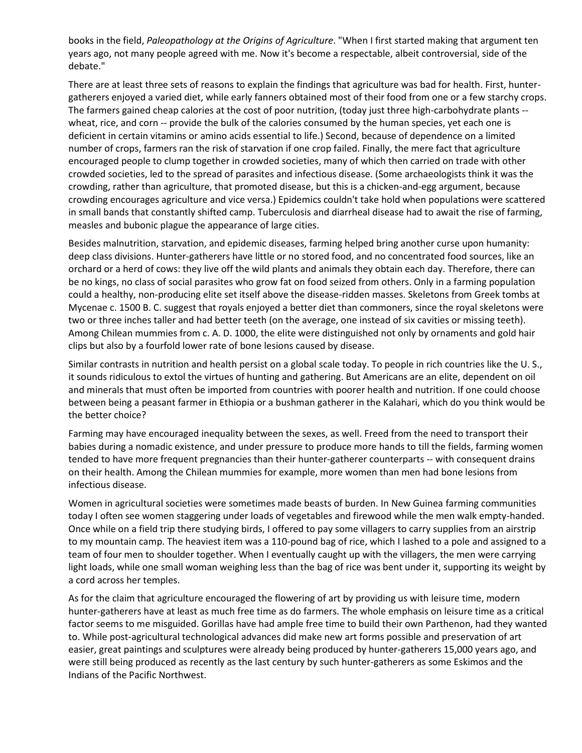books in the field, *Paleopathology at the Origins of Agriculture*. "When I first started making that argument ten years ago, not many people agreed with me. Now it's become a respectable, albeit controversial, side of the debate."

There are at least three sets of reasons to explain the findings that agriculture was bad for health. First, huntergatherers enjoyed a varied diet, while early fanners obtained most of their food from one or a few starchy crops. The farmers gained cheap calories at the cost of poor nutrition, (today just three high-carbohydrate plants - wheat, rice, and corn -- provide the bulk of the calories consumed by the human species, yet each one is deficient in certain vitamins or amino acids essential to life.) Second, because of dependence on a limited number of crops, farmers ran the risk of starvation if one crop failed. Finally, the mere fact that agriculture encouraged people to clump together in crowded societies, many of which then carried on trade with other crowded societies, led to the spread of parasites and infectious disease. (Some archaeologists think it was the crowding, rather than agriculture, that promoted disease, but this is a chicken-and-egg argument, because crowding encourages agriculture and vice versa.) Epidemics couldn't take hold when populations were scattered in small bands that constantly shifted camp. Tuberculosis and diarrheal disease had to await the rise of farming, measles and bubonic plague the appearance of large cities.

Besides malnutrition, starvation, and epidemic diseases, farming helped bring another curse upon humanity: deep class divisions. Hunter-gatherers have little or no stored food, and no concentrated food sources, like an orchard or a herd of cows: they live off the wild plants and animals they obtain each day. Therefore, there can be no kings, no class of social parasites who grow fat on food seized from others. Only in a farming population could a healthy, non-producing elite set itself above the disease-ridden masses. Skeletons from Greek tombs at Mycenae c. 1500 B. C. suggest that royals enjoyed a better diet than commoners, since the royal skeletons were two or three inches taller and had better teeth (on the average, one instead of six cavities or missing teeth). Among Chilean mummies from c. A. D. 1000, the elite were distinguished not only by ornaments and gold hair clips but also by a fourfold lower rate of bone lesions caused by disease.

Similar contrasts in nutrition and health persist on a global scale today. To people in rich countries like the U. S., it sounds ridiculous to extol the virtues of hunting and gathering. But Americans are an elite, dependent on oil and minerals that must often be imported from countries with poorer health and nutrition. If one could choose between being a peasant farmer in Ethiopia or a bushman gatherer in the Kalahari, which do you think would be the better choice?

Farming may have encouraged inequality between the sexes, as well. Freed from the need to transport their babies during a nomadic existence, and under pressure to produce more hands to till the fields, farming women tended to have more frequent pregnancies than their hunter-gatherer counterparts -- with consequent drains on their health. Among the Chilean mummies for example, more women than men had bone lesions from infectious disease.

Women in agricultural societies were sometimes made beasts of burden. In New Guinea farming communities today I often see women staggering under loads of vegetables and firewood while the men walk empty-handed. Once while on a field trip there studying birds, I offered to pay some villagers to carry supplies from an airstrip to my mountain camp. The heaviest item was a 110-pound bag of rice, which I lashed to a pole and assigned to a team of four men to shoulder together. When I eventually caught up with the villagers, the men were carrying light loads, while one small woman weighing less than the bag of rice was bent under it, supporting its weight by a cord across her temples.

As for the claim that agriculture encouraged the flowering of art by providing us with leisure time, modern hunter-gatherers have at least as much free time as do farmers. The whole emphasis on leisure time as a critical factor seems to me misguided. Gorillas have had ample free time to build their own Parthenon, had they wanted to. While post-agricultural technological advances did make new art forms possible and preservation of art easier, great paintings and sculptures were already being produced by hunter-gatherers 15,000 years ago, and were still being produced as recently as the last century by such hunter-gatherers as some Eskimos and the Indians of the Pacific Northwest.